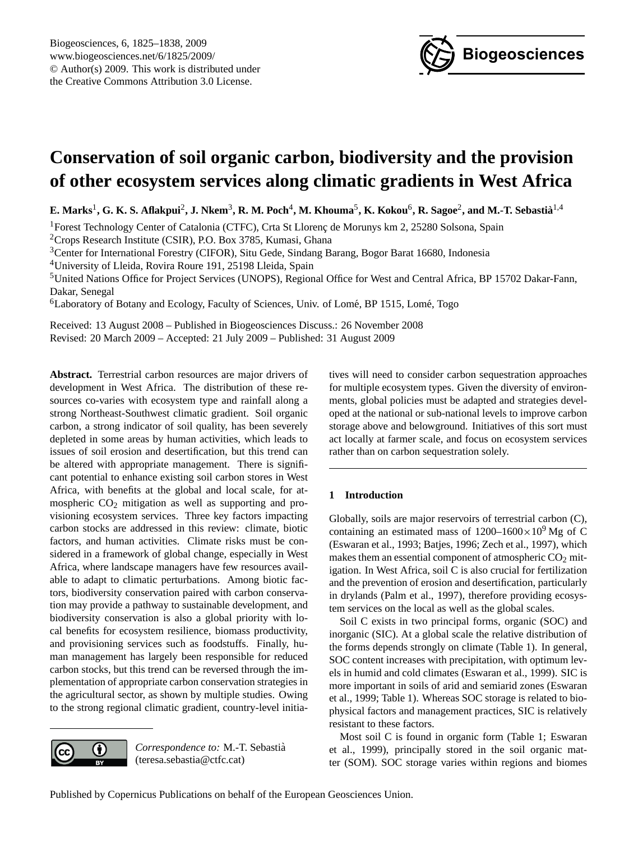

# <span id="page-0-0"></span>**Conservation of soil organic carbon, biodiversity and the provision of other ecosystem services along climatic gradients in West Africa**

 $E$ . Marks<sup>1</sup>, G. K. S. Aflakpui<sup>2</sup>, J. Nkem<sup>3</sup>, R. M. Poch<sup>4</sup>, M. Khouma<sup>5</sup>, K. Kokou<sup>6</sup>, R. Sagoe<sup>2</sup>, and M.-T. Sebastià<sup>1,4</sup>

<sup>1</sup>Forest Technology Center of Catalonia (CTFC), Crta St Llorenç de Morunys km 2, 25280 Solsona, Spain

<sup>2</sup>Crops Research Institute (CSIR), P.O. Box 3785, Kumasi, Ghana

<sup>3</sup>Center for International Forestry (CIFOR), Situ Gede, Sindang Barang, Bogor Barat 16680, Indonesia

<sup>4</sup>University of Lleida, Rovira Roure 191, 25198 Lleida, Spain

<sup>5</sup>United Nations Office for Project Services (UNOPS), Regional Office for West and Central Africa, BP 15702 Dakar-Fann, Dakar, Senegal

<sup>6</sup>Laboratory of Botany and Ecology, Faculty of Sciences, Univ. of Lomé, BP 1515, Lomé, Togo

Received: 13 August 2008 – Published in Biogeosciences Discuss.: 26 November 2008 Revised: 20 March 2009 – Accepted: 21 July 2009 – Published: 31 August 2009

**Abstract.** Terrestrial carbon resources are major drivers of development in West Africa. The distribution of these resources co-varies with ecosystem type and rainfall along a strong Northeast-Southwest climatic gradient. Soil organic carbon, a strong indicator of soil quality, has been severely depleted in some areas by human activities, which leads to issues of soil erosion and desertification, but this trend can be altered with appropriate management. There is significant potential to enhance existing soil carbon stores in West Africa, with benefits at the global and local scale, for atmospheric  $CO<sub>2</sub>$  mitigation as well as supporting and provisioning ecosystem services. Three key factors impacting carbon stocks are addressed in this review: climate, biotic factors, and human activities. Climate risks must be considered in a framework of global change, especially in West Africa, where landscape managers have few resources available to adapt to climatic perturbations. Among biotic factors, biodiversity conservation paired with carbon conservation may provide a pathway to sustainable development, and biodiversity conservation is also a global priority with local benefits for ecosystem resilience, biomass productivity, and provisioning services such as foodstuffs. Finally, human management has largely been responsible for reduced carbon stocks, but this trend can be reversed through the implementation of appropriate carbon conservation strategies in the agricultural sector, as shown by multiple studies. Owing to the strong regional climatic gradient, country-level initia-



*Correspondence to:* M.-T. Sebastia` (teresa.sebastia@ctfc.cat)

tives will need to consider carbon sequestration approaches for multiple ecosystem types. Given the diversity of environments, global policies must be adapted and strategies developed at the national or sub-national levels to improve carbon storage above and belowground. Initiatives of this sort must act locally at farmer scale, and focus on ecosystem services rather than on carbon sequestration solely.

# **1 Introduction**

Globally, soils are major reservoirs of terrestrial carbon (C), containing an estimated mass of  $1200-1600\times10^{9}$  Mg of C (Eswaran et al., 1993; Batjes, 1996; Zech et al., 1997), which makes them an essential component of atmospheric  $CO<sub>2</sub>$  mitigation. In West Africa, soil C is also crucial for fertilization and the prevention of erosion and desertification, particularly in drylands (Palm et al., 1997), therefore providing ecosystem services on the local as well as the global scales.

Soil C exists in two principal forms, organic (SOC) and inorganic (SIC). At a global scale the relative distribution of the forms depends strongly on climate (Table 1). In general, SOC content increases with precipitation, with optimum levels in humid and cold climates (Eswaran et al., 1999). SIC is more important in soils of arid and semiarid zones (Eswaran et al., 1999; Table 1). Whereas SOC storage is related to biophysical factors and management practices, SIC is relatively resistant to these factors.

Most soil C is found in organic form (Table 1; Eswaran et al., 1999), principally stored in the soil organic matter (SOM). SOC storage varies within regions and biomes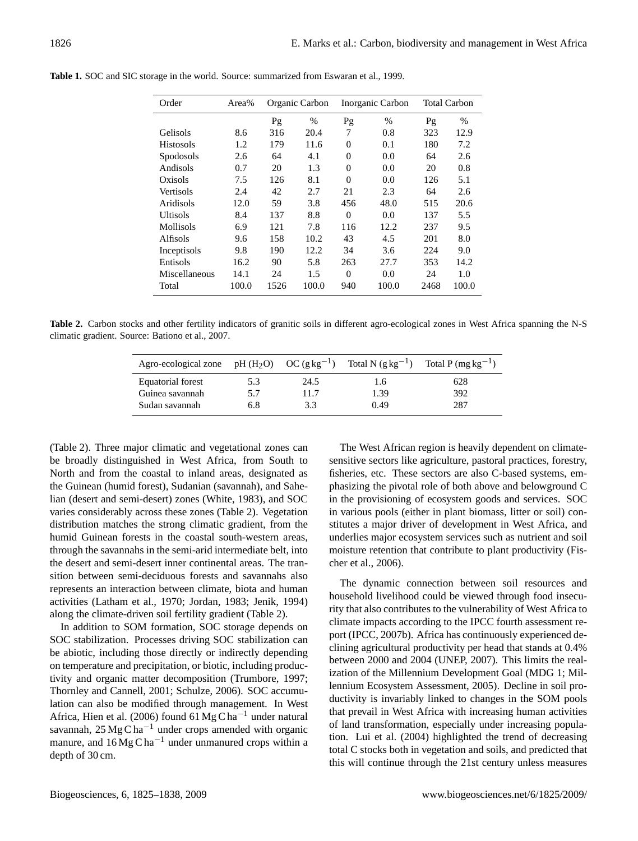| Order           | Area% |      | Organic Carbon | Inorganic Carbon |       | <b>Total Carbon</b> |       |  |
|-----------------|-------|------|----------------|------------------|-------|---------------------|-------|--|
|                 |       | Pg   | $\%$           | Pg               | $\%$  | Pg                  | $\%$  |  |
| <b>Gelisols</b> | 8.6   | 316  | 20.4           | 7                | 0.8   | 323                 | 12.9  |  |
| Histosols       | 1.2   | 179  | 11.6           | $\theta$         | 0.1   | 180                 | 7.2   |  |
| Spodosols       | 2.6   | 64   | 4.1            | 0                | 0.0   | 64                  | 2.6   |  |
| Andisols        | 0.7   | 20   | 1.3            | $\Omega$         | 0.0   | 20                  | 0.8   |  |
| Oxisols         | 7.5   | 126  | 8.1            | $\Omega$         | 0.0   | 126                 | 5.1   |  |
| Vertisols       | 2.4   | 42   | 2.7            | 21               | 2.3   | 64                  | 2.6   |  |
| Aridisols       | 12.0  | 59   | 3.8            | 456              | 48.0  | 515                 | 20.6  |  |
| Ultisols        | 8.4   | 137  | 8.8            | $\Omega$         | 0.0   | 137                 | 5.5   |  |
| Mollisols       | 6.9   | 121  | 7.8            | 116              | 12.2  | 237                 | 9.5   |  |
| Alfisols        | 9.6   | 158  | 10.2           | 43               | 4.5   | 201                 | 8.0   |  |
| Inceptisols     | 9.8   | 190  | 12.2           | 34               | 3.6   | 224                 | 9.0   |  |
| Entisols        | 16.2  | 90   | 5.8            | 263              | 27.7  | 353                 | 14.2  |  |
| Miscellaneous   | 14.1  | 24   | 1.5            | $\Omega$         | 0.0   | 24                  | 1.0   |  |
| Total           | 100.0 | 1526 | 100.0          | 940              | 100.0 | 2468                | 100.0 |  |

**Table 1.** SOC and SIC storage in the world. Source: summarized from Eswaran et al., 1999.

**Table 2.** Carbon stocks and other fertility indicators of granitic soils in different agro-ecological zones in West Africa spanning the N-S climatic gradient. Source: Bationo et al., 2007.

| Agro-ecological zone pH $(H_2O)$ OC $(g \, kg^{-1})$ |     |      |      | Total N $(g \text{ kg}^{-1})$ Total P $(\text{mg kg}^{-1})$ |
|------------------------------------------------------|-----|------|------|-------------------------------------------------------------|
| Equatorial forest                                    | 5.3 | 24.5 | 1.6  | 628                                                         |
| Guinea savannah                                      | 5.7 | 11.7 | 1.39 | 392                                                         |
| Sudan savannah                                       | 6.8 | 3.3  | 0.49 | 287                                                         |

(Table 2). Three major climatic and vegetational zones can be broadly distinguished in West Africa, from South to North and from the coastal to inland areas, designated as the Guinean (humid forest), Sudanian (savannah), and Sahelian (desert and semi-desert) zones (White, 1983), and SOC varies considerably across these zones (Table 2). Vegetation distribution matches the strong climatic gradient, from the humid Guinean forests in the coastal south-western areas, through the savannahs in the semi-arid intermediate belt, into the desert and semi-desert inner continental areas. The transition between semi-deciduous forests and savannahs also represents an interaction between climate, biota and human activities (Latham et al., 1970; Jordan, 1983; Jenik, 1994) along the climate-driven soil fertility gradient (Table 2).

In addition to SOM formation, SOC storage depends on SOC stabilization. Processes driving SOC stabilization can be abiotic, including those directly or indirectly depending on temperature and precipitation, or biotic, including productivity and organic matter decomposition (Trumbore, 1997; Thornley and Cannell, 2001; Schulze, 2006). SOC accumulation can also be modified through management. In West Africa, Hien et al. (2006) found 61 Mg C ha<sup>-1</sup> under natural savannah, 25 Mg C ha−<sup>1</sup> under crops amended with organic manure, and  $16 \text{Mg} \text{C} \text{h} \text{a}^{-1}$  under unmanured crops within a depth of 30 cm.

The West African region is heavily dependent on climatesensitive sectors like agriculture, pastoral practices, forestry, fisheries, etc. These sectors are also C-based systems, emphasizing the pivotal role of both above and belowground C in the provisioning of ecosystem goods and services. SOC in various pools (either in plant biomass, litter or soil) constitutes a major driver of development in West Africa, and underlies major ecosystem services such as nutrient and soil moisture retention that contribute to plant productivity (Fischer et al., 2006).

The dynamic connection between soil resources and household livelihood could be viewed through food insecurity that also contributes to the vulnerability of West Africa to climate impacts according to the IPCC fourth assessment report (IPCC, 2007b). Africa has continuously experienced declining agricultural productivity per head that stands at 0.4% between 2000 and 2004 (UNEP, 2007). This limits the realization of the Millennium Development Goal (MDG 1; Millennium Ecosystem Assessment, 2005). Decline in soil productivity is invariably linked to changes in the SOM pools that prevail in West Africa with increasing human activities of land transformation, especially under increasing population. Lui et al. (2004) highlighted the trend of decreasing total C stocks both in vegetation and soils, and predicted that this will continue through the 21st century unless measures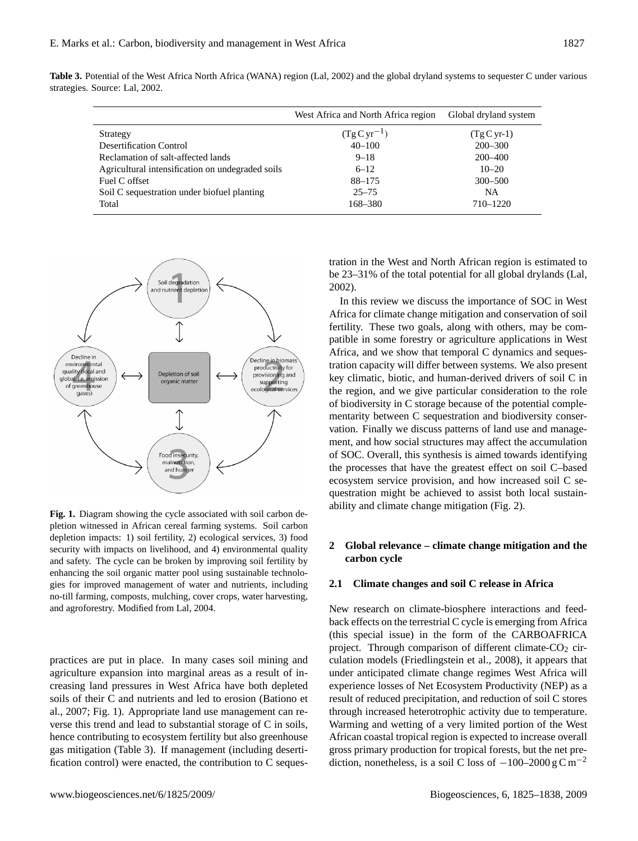|                                                  | West Africa and North Africa region | Global dryland system |
|--------------------------------------------------|-------------------------------------|-----------------------|
| Strategy                                         | $(TgCyr^{-1})$                      | $(Tg C yr-1)$         |
| <b>Desertification Control</b>                   | $40 - 100$                          | $200 - 300$           |
| Reclamation of salt-affected lands               | $9 - 18$                            | $200 - 400$           |
| Agricultural intensification on undegraded soils | $6 - 12$                            | $10 - 20$             |
| Fuel C offset                                    | 88-175                              | $300 - 500$           |
| Soil C sequestration under biofuel planting      | $25 - 75$                           | <b>NA</b>             |
| Total                                            | 168-380                             | 710-1220              |

**Table 3.** Potential of the West Africa North Africa (WANA) region (Lal, 2002) and the global dryland systems to sequester C under various strategies. Source: Lal, 2002.



depletion impacts: 1) soil fertility, 2) ecological services, 3) food security with impacts on livelihood, and 4) environmental quality and safety. The cycle can be broken by improving soil fertility by enhancing the soil organic matter pool using sustainable technologies for improved management of water and nutrients, including no-till farming, composts, mulching, cover crops, water harvesting, and agroforestry. Modified from Lal, 2004. **Fig. 1.** Diagram showing the cycle associated with soil carbon depletion witnessed in African cereal farming systems. Soil carbon

agriculture expansion into marginal areas as a result of inpractices are put in place. In many cases soil mining and creasing land pressures in West Africa have both depleted soils of their C and nutrients and led to erosion (Bationo et al., 2007; Fig. 1). Appropriate land use management can reverse this trend and lead to substantial storage of C in soils, hence contributing to ecosystem fertility but also greenhouse gas mitigation (Table 3). If management (including desertification control) were enacted, the contribution to C sequestration in the West and North African region is estimated to be 23–31% of the total potential for all global drylands (Lal, 2002).

In this review we discuss the importance of SOC in West Africa for climate change mitigation and conservation of soil fertility. These two goals, along with others, may be compatible in some forestry or agriculture applications in West Africa, and we show that temporal C dynamics and sequestration capacity will differ between systems. We also present key climatic, biotic, and human-derived drivers of soil C in the region, and we give particular consideration to the role of biodiversity in C storage because of the potential complementarity between C sequestration and biodiversity conservation. Finally we discuss patterns of land use and management, and how social structures may affect the accumulation of SOC. Overall, this synthesis is aimed towards identifying the processes that have the greatest effect on soil C–based ecosystem service provision, and how increased soil C sequestration might be achieved to assist both local sustainability and climate change mitigation (Fig. 2).

# **2 Global relevance – climate change mitigation and the carbon cycle**

## **2.1 Climate changes and soil C release in Africa**

New research on climate-biosphere interactions and feedback effects on the terrestrial C cycle is emerging from Africa (this special issue) in the form of the CARBOAFRICA project. Through comparison of different climate- $CO<sub>2</sub>$  circulation models (Friedlingstein et al., 2008), it appears that under anticipated climate change regimes West Africa will experience losses of Net Ecosystem Productivity (NEP) as a result of reduced precipitation, and reduction of soil C stores through increased heterotrophic activity due to temperature. Warming and wetting of a very limited portion of the West African coastal tropical region is expected to increase overall gross primary production for tropical forests, but the net prediction, nonetheless, is a soil C loss of  $-100-2000 \text{ g C m}^{-2}$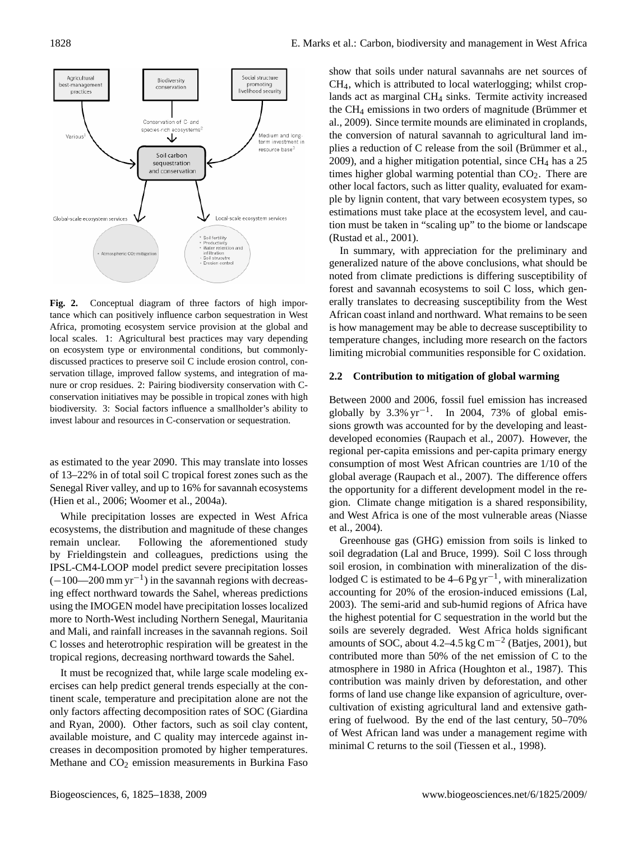

Fig. 2. Conceptual diagram of three factors of high importance which can positively influence carbon sequestration in West Africa, promoting ecosystem service provision at the global and local scales. 1: Agricultural best practices may vary depending on ecosystem type or environmental conditions, but commonlydiscussed practices to preserve soil C include erosion control, conservation tillage, improved fallow systems, and integration of manure or crop residues. 2: Pairing biodiversity conservation with Cconservation initiatives may be possible in tropical zones with high biodiversity. 3: Social factors influence a smallholder's ability to **Fig. 2.** Conceptual diagram of three factors of high imporinvest labour and resources in C-conservation or sequestration.

as estimated to the year 2090. This may translate into losses of 13–22% in of total soil C tropical forest zones such as the Senegal River valley, and up to 16% for savannah ecosystems (Hien et al., 2006; Woomer et al., 2004a).

ecosystems, the distribution and magnitude of these changes While precipitation losses are expected in West Africa remain unclear. Following the aforementioned study by Frieldingstein and colleagues, predictions using the IPSL-CM4-LOOP model predict severe precipitation losses  $(-100-200 \text{ mm yr}^{-1})$  in the savannah regions with decreasing effect northward towards the Sahel, whereas predictions using the IMOGEN model have precipitation losses localized more to North-West including Northern Senegal, Mauritania and Mali, and rainfall increases in the savannah regions. Soil C losses and heterotrophic respiration will be greatest in the tropical regions, decreasing northward towards the Sahel.

It must be recognized that, while large scale modeling exercises can help predict general trends especially at the continent scale, temperature and precipitation alone are not the only factors affecting decomposition rates of SOC (Giardina and Ryan, 2000). Other factors, such as soil clay content, available moisture, and C quality may intercede against increases in decomposition promoted by higher temperatures. Methane and CO<sub>2</sub> emission measurements in Burkina Faso

show that soils under natural savannahs are net sources of CH4, which is attributed to local waterlogging; whilst croplands act as marginal CH<sub>4</sub> sinks. Termite activity increased the  $CH_4$  emissions in two orders of magnitude (Brümmer et al., 2009). Since termite mounds are eliminated in croplands, the conversion of natural savannah to agricultural land implies a reduction of C release from the soil (Brümmer et al.,  $2009$ ), and a higher mitigation potential, since CH<sub>4</sub> has a  $25$ times higher global warming potential than  $CO<sub>2</sub>$ . There are other local factors, such as litter quality, evaluated for example by lignin content, that vary between ecosystem types, so estimations must take place at the ecosystem level, and caution must be taken in "scaling up" to the biome or landscape (Rustad et al., 2001).

In summary, with appreciation for the preliminary and generalized nature of the above conclusions, what should be noted from climate predictions is differing susceptibility of forest and savannah ecosystems to soil C loss, which generally translates to decreasing susceptibility from the West African coast inland and northward. What remains to be seen is how management may be able to decrease susceptibility to temperature changes, including more research on the factors limiting microbial communities responsible for C oxidation.

### **2.2 Contribution to mitigation of global warming**

Between 2000 and 2006, fossil fuel emission has increased globally by  $3.3\% \text{ yr}^{-1}$ . In 2004, 73% of global emissions growth was accounted for by the developing and leastdeveloped economies (Raupach et al., 2007). However, the regional per-capita emissions and per-capita primary energy consumption of most West African countries are 1/10 of the global average (Raupach et al., 2007). The difference offers the opportunity for a different development model in the region. Climate change mitigation is a shared responsibility, and West Africa is one of the most vulnerable areas (Niasse et al., 2004).

Greenhouse gas (GHG) emission from soils is linked to soil degradation (Lal and Bruce, 1999). Soil C loss through soil erosion, in combination with mineralization of the dislodged C is estimated to be  $4-6$  Pg yr<sup>-1</sup>, with mineralization accounting for 20% of the erosion-induced emissions (Lal, 2003). The semi-arid and sub-humid regions of Africa have the highest potential for C sequestration in the world but the soils are severely degraded. West Africa holds significant amounts of SOC, about 4.2–4.5 kg C m<sup>-2</sup> (Batjes, 2001), but contributed more than 50% of the net emission of C to the atmosphere in 1980 in Africa (Houghton et al., 1987). This contribution was mainly driven by deforestation, and other forms of land use change like expansion of agriculture, overcultivation of existing agricultural land and extensive gathering of fuelwood. By the end of the last century, 50–70% of West African land was under a management regime with minimal C returns to the soil (Tiessen et al., 1998).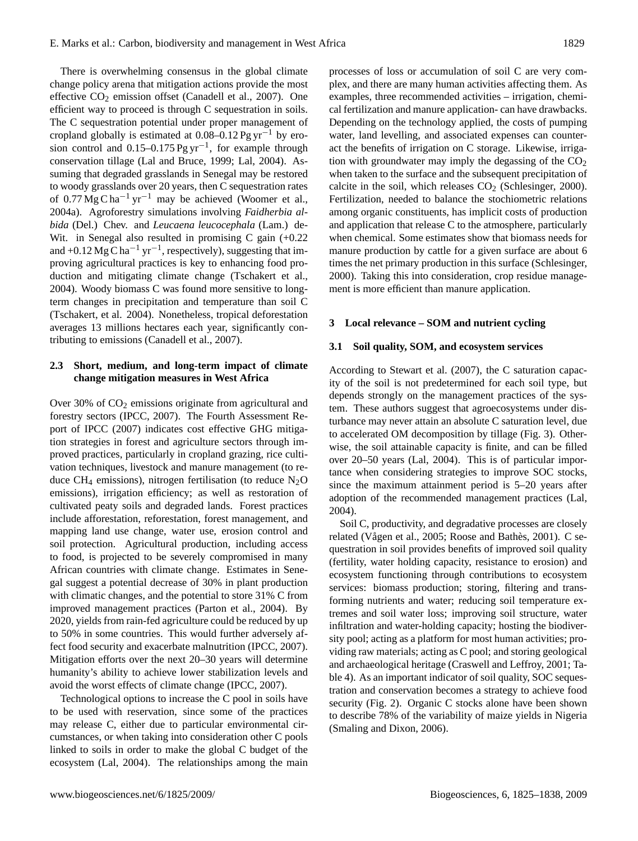There is overwhelming consensus in the global climate change policy arena that mitigation actions provide the most effective  $CO_2$  emission offset (Canadell et al., 2007). One efficient way to proceed is through C sequestration in soils. The C sequestration potential under proper management of cropland globally is estimated at  $0.08-0.12 \text{Pg yr}^{-1}$  by erosion control and 0.15–0.175 Pg yr<sup>-1</sup>, for example through conservation tillage (Lal and Bruce, 1999; Lal, 2004). Assuming that degraded grasslands in Senegal may be restored to woody grasslands over 20 years, then C sequestration rates of 0.77 Mg C ha<sup>-1</sup> yr<sup>-1</sup> may be achieved (Woomer et al., 2004a). Agroforestry simulations involving *Faidherbia albida* (Del.) Chev. and *Leucaena leucocephala* (Lam.) de-Wit. in Senegal also resulted in promising C gain  $(+0.22)$ and +0.12 Mg C ha<sup>-1</sup> yr<sup>-1</sup>, respectively), suggesting that improving agricultural practices is key to enhancing food production and mitigating climate change (Tschakert et al., 2004). Woody biomass C was found more sensitive to longterm changes in precipitation and temperature than soil C (Tschakert, et al. 2004). Nonetheless, tropical deforestation averages 13 millions hectares each year, significantly contributing to emissions (Canadell et al., 2007).

# **2.3 Short, medium, and long-term impact of climate change mitigation measures in West Africa**

Over 30% of  $CO<sub>2</sub>$  emissions originate from agricultural and forestry sectors (IPCC, 2007). The Fourth Assessment Report of IPCC (2007) indicates cost effective GHG mitigation strategies in forest and agriculture sectors through improved practices, particularly in cropland grazing, rice cultivation techniques, livestock and manure management (to reduce CH<sub>4</sub> emissions), nitrogen fertilisation (to reduce  $N_2O$ emissions), irrigation efficiency; as well as restoration of cultivated peaty soils and degraded lands. Forest practices include afforestation, reforestation, forest management, and mapping land use change, water use, erosion control and soil protection. Agricultural production, including access to food, is projected to be severely compromised in many African countries with climate change. Estimates in Senegal suggest a potential decrease of 30% in plant production with climatic changes, and the potential to store 31% C from improved management practices (Parton et al., 2004). By 2020, yields from rain-fed agriculture could be reduced by up to 50% in some countries. This would further adversely affect food security and exacerbate malnutrition (IPCC, 2007). Mitigation efforts over the next 20–30 years will determine humanity's ability to achieve lower stabilization levels and avoid the worst effects of climate change (IPCC, 2007).

Technological options to increase the C pool in soils have to be used with reservation, since some of the practices may release C, either due to particular environmental circumstances, or when taking into consideration other C pools linked to soils in order to make the global C budget of the ecosystem (Lal, 2004). The relationships among the main processes of loss or accumulation of soil C are very complex, and there are many human activities affecting them. As examples, three recommended activities – irrigation, chemical fertilization and manure application- can have drawbacks. Depending on the technology applied, the costs of pumping water, land levelling, and associated expenses can counteract the benefits of irrigation on C storage. Likewise, irrigation with groundwater may imply the degassing of the  $CO<sub>2</sub>$ when taken to the surface and the subsequent precipitation of calcite in the soil, which releases  $CO<sub>2</sub>$  (Schlesinger, 2000). Fertilization, needed to balance the stochiometric relations among organic constituents, has implicit costs of production and application that release C to the atmosphere, particularly when chemical. Some estimates show that biomass needs for manure production by cattle for a given surface are about 6 times the net primary production in this surface (Schlesinger, 2000). Taking this into consideration, crop residue management is more efficient than manure application.

### **3 Local relevance – SOM and nutrient cycling**

#### **3.1 Soil quality, SOM, and ecosystem services**

According to Stewart et al. (2007), the C saturation capacity of the soil is not predetermined for each soil type, but depends strongly on the management practices of the system. These authors suggest that agroecosystems under disturbance may never attain an absolute C saturation level, due to accelerated OM decomposition by tillage (Fig. 3). Otherwise, the soil attainable capacity is finite, and can be filled over 20–50 years (Lal, 2004). This is of particular importance when considering strategies to improve SOC stocks, since the maximum attainment period is 5–20 years after adoption of the recommended management practices (Lal, 2004).

Soil C, productivity, and degradative processes are closely related (Vågen et al., 2005; Roose and Bathès, 2001). C sequestration in soil provides benefits of improved soil quality (fertility, water holding capacity, resistance to erosion) and ecosystem functioning through contributions to ecosystem services: biomass production; storing, filtering and transforming nutrients and water; reducing soil temperature extremes and soil water loss; improving soil structure, water infiltration and water-holding capacity; hosting the biodiversity pool; acting as a platform for most human activities; providing raw materials; acting as C pool; and storing geological and archaeological heritage (Craswell and Leffroy, 2001; Table 4). As an important indicator of soil quality, SOC sequestration and conservation becomes a strategy to achieve food security (Fig. 2). Organic C stocks alone have been shown to describe 78% of the variability of maize yields in Nigeria (Smaling and Dixon, 2006).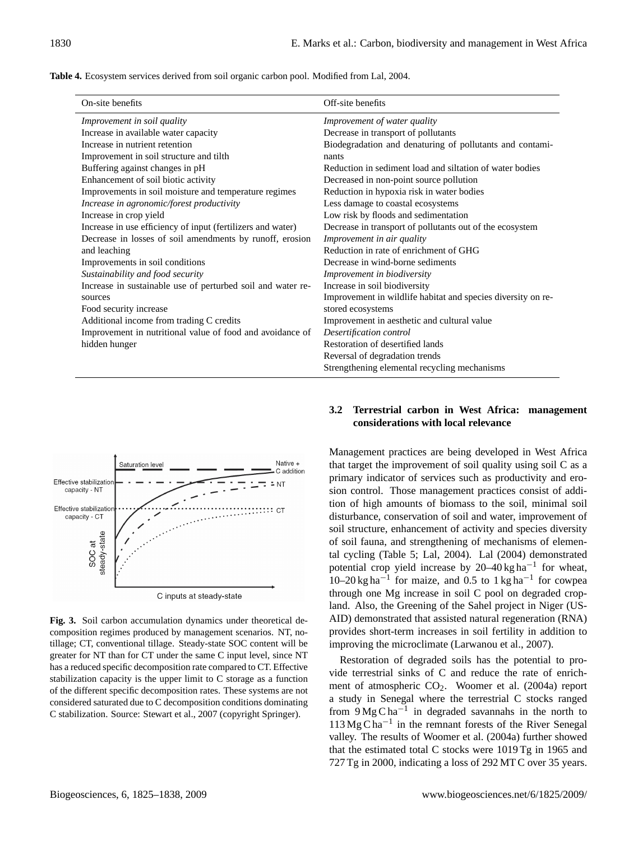| <b>Table 4.</b> Ecosystem services derived from soil organic carbon pool. Modified from Lal, 2004. |  |  |  |  |  |  |  |  |  |  |
|----------------------------------------------------------------------------------------------------|--|--|--|--|--|--|--|--|--|--|
|----------------------------------------------------------------------------------------------------|--|--|--|--|--|--|--|--|--|--|

| On-site benefits                                            | Off-site benefits                                            |
|-------------------------------------------------------------|--------------------------------------------------------------|
| Improvement in soil quality                                 | Improvement of water quality                                 |
| Increase in available water capacity                        | Decrease in transport of pollutants                          |
| Increase in nutrient retention                              | Biodegradation and denaturing of pollutants and contami-     |
| Improvement in soil structure and tilth                     | nants                                                        |
| Buffering against changes in pH                             | Reduction in sediment load and siltation of water bodies     |
| Enhancement of soil biotic activity                         | Decreased in non-point source pollution                      |
| Improvements in soil moisture and temperature regimes       | Reduction in hypoxia risk in water bodies                    |
| Increase in agronomic/forest productivity                   | Less damage to coastal ecosystems                            |
| Increase in crop yield                                      | Low risk by floods and sedimentation                         |
| Increase in use efficiency of input (fertilizers and water) | Decrease in transport of pollutants out of the ecosystem     |
| Decrease in losses of soil amendments by runoff, erosion    | Improvement in air quality                                   |
| and leaching                                                | Reduction in rate of enrichment of GHG                       |
| Improvements in soil conditions                             | Decrease in wind-borne sediments                             |
| Sustainability and food security                            | Improvement in biodiversity                                  |
| Increase in sustainable use of perturbed soil and water re- | Increase in soil biodiversity                                |
| sources                                                     | Improvement in wildlife habitat and species diversity on re- |
| Food security increase                                      | stored ecosystems                                            |
| Additional income from trading C credits                    | Improvement in aesthetic and cultural value                  |
| Improvement in nutritional value of food and avoidance of   | Desertification control                                      |
| hidden hunger                                               | Restoration of desertified lands                             |
|                                                             | Reversal of degradation trends                               |
|                                                             | Strengthening elemental recycling mechanisms                 |



composition regimes produced by management scenarios. NT, notillage; CT, conventional tillage. Steady-state SOC content will be greater for NT than for CT under the same C input level, since NT has a reduced specific decomposition rate compared to CT. Effective stabilization capacity is the upper limit to  $C$  storage as a function of the different specific decomposition rates. These systems are not considered saturated due to C decomposition conditions dominating C stabilization. Source: Stewart et al., 2007 (copyright Springer). **Fig. 3.** Soil carbon accumulation dynamics under theoretical de-

# **3.2 Terrestrial carbon in West Africa: management considerations with local relevance**

Management practices are being developed in West Africa that target the improvement of soil quality using soil C as a primary indicator of services such as productivity and erosion control. Those management practices consist of addition of high amounts of biomass to the soil, minimal soil disturbance, conservation of soil and water, improvement of soil structure, enhancement of activity and species diversity of soil fauna, and strengthening of mechanisms of elemental cycling (Table 5; Lal, 2004). Lal (2004) demonstrated potential crop yield increase by 20–40 kg ha<sup>-1</sup> for wheat,  $10-20$  kg ha<sup>-1</sup> for maize, and 0.5 to 1 kg ha<sup>-1</sup> for cowpea through one Mg increase in soil C pool on degraded cropland. Also, the Greening of the Sahel project in Niger (US-AID) demonstrated that assisted natural regeneration (RNA) provides short-term increases in soil fertility in addition to improving the microclimate (Larwanou et al., 2007).

Restoration of degraded soils has the potential to provide terrestrial sinks of C and reduce the rate of enrichment of atmospheric CO<sub>2</sub>. Woomer et al. (2004a) report a study in Senegal where the terrestrial C stocks ranged from  $9MgCha^{-1}$  in degraded savannahs in the north to 113 Mg C ha−<sup>1</sup> in the remnant forests of the River Senegal valley. The results of Woomer et al. (2004a) further showed that the estimated total C stocks were 1019 Tg in 1965 and 727 Tg in 2000, indicating a loss of 292 MT C over 35 years.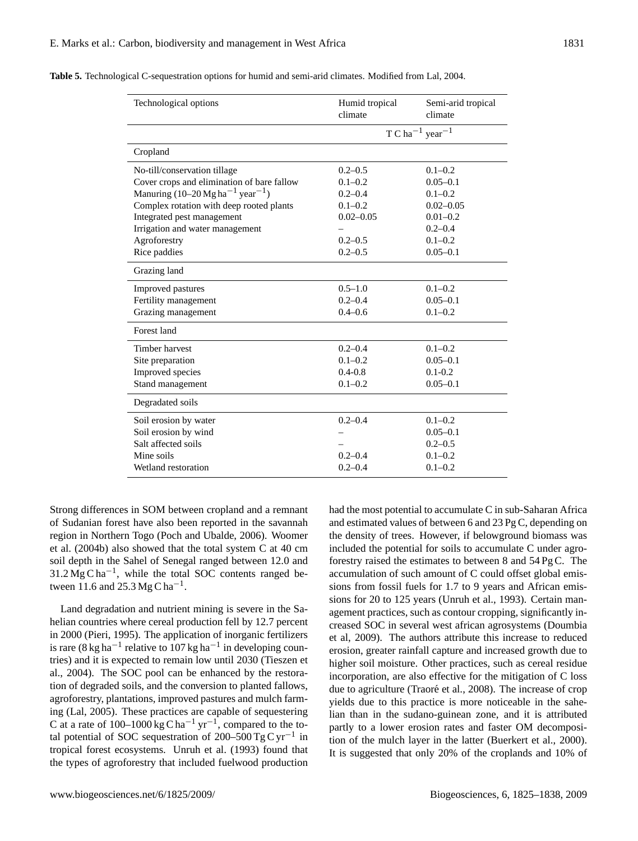| Technological options                                   | Humid tropical<br>climate               | Semi-arid tropical<br>climate |  |  |  |  |  |
|---------------------------------------------------------|-----------------------------------------|-------------------------------|--|--|--|--|--|
|                                                         | T C ha <sup>-1</sup> year <sup>-1</sup> |                               |  |  |  |  |  |
| Cropland                                                |                                         |                               |  |  |  |  |  |
| No-till/conservation tillage                            | $0.2 - 0.5$                             | $0.1 - 0.2$                   |  |  |  |  |  |
| Cover crops and elimination of bare fallow              | $0.1 - 0.2$                             | $0.05 - 0.1$                  |  |  |  |  |  |
| Manuring $(10-20 \text{ Mg ha}^{-1} \text{ year}^{-1})$ | $0.2 - 0.4$                             | $0.1 - 0.2$                   |  |  |  |  |  |
| Complex rotation with deep rooted plants                | $0.1 - 0.2$                             | $0.02 - 0.05$                 |  |  |  |  |  |
| Integrated pest management                              | $0.02 - 0.05$                           | $0.01 - 0.2$                  |  |  |  |  |  |
| Irrigation and water management                         |                                         | $0.2 - 0.4$                   |  |  |  |  |  |
| Agroforestry                                            | $0.2 - 0.5$                             | $0.1 - 0.2$                   |  |  |  |  |  |
| Rice paddies                                            | $0.2 - 0.5$                             | $0.05 - 0.1$                  |  |  |  |  |  |
| Grazing land                                            |                                         |                               |  |  |  |  |  |
| Improved pastures                                       | $0.5 - 1.0$                             | $0.1 - 0.2$                   |  |  |  |  |  |
| Fertility management                                    | $0.2 - 0.4$                             | $0.05 - 0.1$                  |  |  |  |  |  |
| Grazing management                                      | $0.4 - 0.6$                             | $0.1 - 0.2$                   |  |  |  |  |  |
| Forest land                                             |                                         |                               |  |  |  |  |  |
| Timber harvest                                          | $0.2 - 0.4$                             | $0.1 - 0.2$                   |  |  |  |  |  |
| Site preparation                                        | $0.1 - 0.2$                             | $0.05 - 0.1$                  |  |  |  |  |  |
| Improved species                                        | $0.4 - 0.8$                             | $0.1 - 0.2$                   |  |  |  |  |  |
| Stand management                                        | $0.1 - 0.2$                             | $0.05 - 0.1$                  |  |  |  |  |  |
| Degradated soils                                        |                                         |                               |  |  |  |  |  |
| Soil erosion by water                                   | $0.2 - 0.4$                             | $0.1 - 0.2$                   |  |  |  |  |  |
| Soil erosion by wind                                    |                                         | $0.05 - 0.1$                  |  |  |  |  |  |
| Salt affected soils                                     |                                         | $0.2 - 0.5$                   |  |  |  |  |  |
| Mine soils                                              | $0.2 - 0.4$                             | $0.1 - 0.2$                   |  |  |  |  |  |
| Wetland restoration                                     | $0.2 - 0.4$                             | $0.1 - 0.2$                   |  |  |  |  |  |

**Table 5.** Technological C-sequestration options for humid and semi-arid climates. Modified from Lal, 2004.

Strong differences in SOM between cropland and a remnant of Sudanian forest have also been reported in the savannah region in Northern Togo (Poch and Ubalde, 2006). Woomer et al. (2004b) also showed that the total system C at 40 cm soil depth in the Sahel of Senegal ranged between 12.0 and 31.2 Mg C ha<sup>-1</sup>, while the total SOC contents ranged between 11.6 and 25.3 Mg C ha<sup>-1</sup>.

Land degradation and nutrient mining is severe in the Sahelian countries where cereal production fell by 12.7 percent in 2000 (Pieri, 1995). The application of inorganic fertilizers is rare (8 kg ha<sup>-1</sup> relative to 107 kg ha<sup>-1</sup> in developing countries) and it is expected to remain low until 2030 (Tieszen et al., 2004). The SOC pool can be enhanced by the restoration of degraded soils, and the conversion to planted fallows, agroforestry, plantations, improved pastures and mulch farming (Lal, 2005). These practices are capable of sequestering C at a rate of  $100-1000 \text{ kg C} \text{ ha}^{-1} \text{ yr}^{-1}$ , compared to the total potential of SOC sequestration of 200–500 Tg C yr<sup>-1</sup> in tropical forest ecosystems. Unruh et al. (1993) found that the types of agroforestry that included fuelwood production had the most potential to accumulate C in sub-Saharan Africa and estimated values of between 6 and 23 Pg C, depending on the density of trees. However, if belowground biomass was included the potential for soils to accumulate C under agroforestry raised the estimates to between 8 and 54 Pg C. The accumulation of such amount of C could offset global emissions from fossil fuels for 1.7 to 9 years and African emissions for 20 to 125 years (Unruh et al., 1993). Certain management practices, such as contour cropping, significantly increased SOC in several west african agrosystems (Doumbia et al, 2009). The authors attribute this increase to reduced erosion, greater rainfall capture and increased growth due to higher soil moisture. Other practices, such as cereal residue incorporation, are also effective for the mitigation of C loss due to agriculture (Traoré et al., 2008). The increase of crop yields due to this practice is more noticeable in the sahelian than in the sudano-guinean zone, and it is attributed partly to a lower erosion rates and faster OM decomposition of the mulch layer in the latter (Buerkert et al., 2000). It is suggested that only 20% of the croplands and 10% of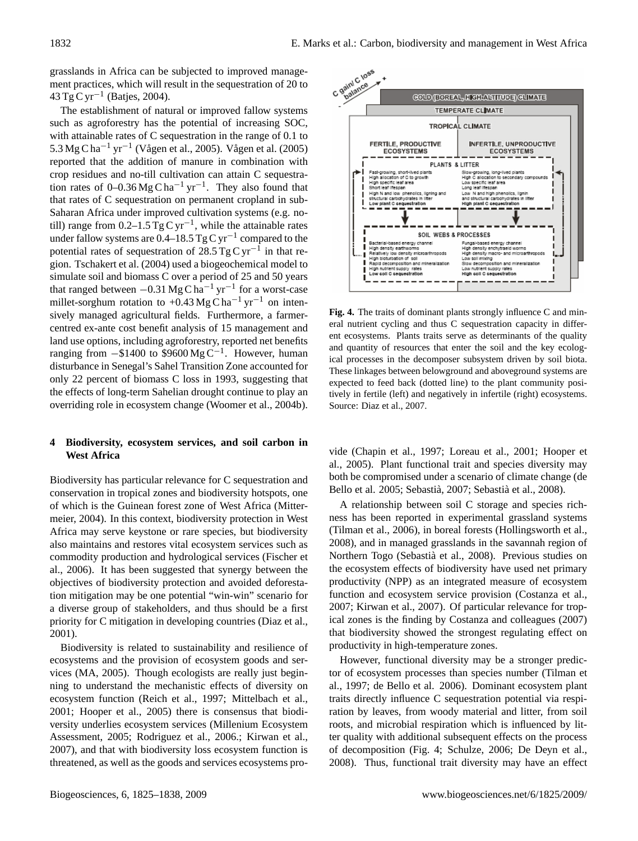grasslands in Africa can be subjected to improved management practices, which will result in the sequestration of 20 to 43 Tg C yr−<sup>1</sup> (Batjes, 2004).

The establishment of natural or improved fallow systems such as agroforestry has the potential of increasing SOC, with attainable rates of C sequestration in the range of 0.1 to 5.3 Mg C ha<sup>−1</sup> yr<sup>−1</sup> (Vågen et al., 2005). Vågen et al. (2005) reported that the addition of manure in combination with crop residues and no-till cultivation can attain C sequestration rates of  $0-0.36$  Mg C ha<sup>-1</sup> yr<sup>-1</sup>. They also found that that rates of C sequestration on permanent cropland in sub-Saharan Africa under improved cultivation systems (e.g. notill) range from  $0.2-1.5$  Tg C yr<sup>-1</sup>, while the attainable rates under fallow systems are 0.4–18.5 Tg C yr<sup>-1</sup> compared to the potential rates of sequestration of 28.5 Tg C yr<sup>-1</sup> in that region. Tschakert et al. (2004) used a biogeochemical model to simulate soil and biomass C over a period of 25 and 50 years that ranged between  $-0.31$  Mg C ha<sup>-1</sup> yr<sup>-1</sup> for a worst-case millet-sorghum rotation to +0.43 Mg C ha<sup>-1</sup> yr<sup>-1</sup> on intensively managed agricultural fields. Furthermore, a farmercentred ex-ante cost benefit analysis of 15 management and land use options, including agroforestry, reported net benefits ranging from  $-$ \$1400 to \$9600 Mg C<sup>-1</sup>. However, human disturbance in Senegal's Sahel Transition Zone accounted for only 22 percent of biomass C loss in 1993, suggesting that the effects of long-term Sahelian drought continue to play an overriding role in ecosystem change (Woomer et al., 2004b).

### **4 Biodiversity, ecosystem services, and soil carbon in West Africa**

Biodiversity has particular relevance for C sequestration and conservation in tropical zones and biodiversity hotspots, one of which is the Guinean forest zone of West Africa (Mittermeier, 2004). In this context, biodiversity protection in West Africa may serve keystone or rare species, but biodiversity also maintains and restores vital ecosystem services such as commodity production and hydrological services (Fischer et al., 2006). It has been suggested that synergy between the objectives of biodiversity protection and avoided deforestation mitigation may be one potential "win-win" scenario for a diverse group of stakeholders, and thus should be a first priority for C mitigation in developing countries (Diaz et al., 2001).

Biodiversity is related to sustainability and resilience of ecosystems and the provision of ecosystem goods and services (MA, 2005). Though ecologists are really just beginning to understand the mechanistic effects of diversity on ecosystem function (Reich et al., 1997; Mittelbach et al., 2001; Hooper et al., 2005) there is consensus that biodiversity underlies ecosystem services (Millenium Ecosystem Assessment, 2005; Rodriguez et al., 2006.; Kirwan et al., 2007), and that with biodiversity loss ecosystem function is threatened, as well as the goods and services ecosystems pro-



**Fig. 4.** The traits of dominant plants strongly influence C and minent ecosystems. Plants traits serve as determinants of the quality and quantity of resources that enter the soil and the key ecological processes in the decomposer subsystem driven by soil biota. These linkages between belowground and aboveground systems are tively in fertile (left) and negatively in infertile (right) ecosystems. Source: Diaz et al., 2007. eral nutrient cycling and thus C sequestration capacity in differexpected to feed back (dotted line) to the plant community posi-

vide (Chapin et al., 1997; Loreau et al., 2001; Hooper et al., 2005). Plant functional trait and species diversity may both be compromised under a scenario of climate change (de Bello et al. 2005; Sebastià, 2007; Sebastià et al., 2008).

productivity (NPP) as an integrated measure of ecosystem A relationship between soil C storage and species richness has been reported in experimental grassland systems (Tilman et al., 2006), in boreal forests (Hollingsworth et al., 2008), and in managed grasslands in the savannah region of Northern Togo (Sebastia et al., 2008). Previous studies on ` the ecosystem effects of biodiversity have used net primary function and ecosystem service provision (Costanza et al., 2007; Kirwan et al., 2007). Of particular relevance for tropical zones is the finding by Costanza and colleagues (2007) that biodiversity showed the strongest regulating effect on productivity in high-temperature zones.

However, functional diversity may be a stronger predictor of ecosystem processes than species number (Tilman et al., 1997; de Bello et al. 2006). Dominant ecosystem plant traits directly influence C sequestration potential via respiration by leaves, from woody material and litter, from soil roots, and microbial respiration which is influenced by litter quality with additional subsequent effects on the process of decomposition (Fig. 4; Schulze, 2006; De Deyn et al., 2008). Thus, functional trait diversity may have an effect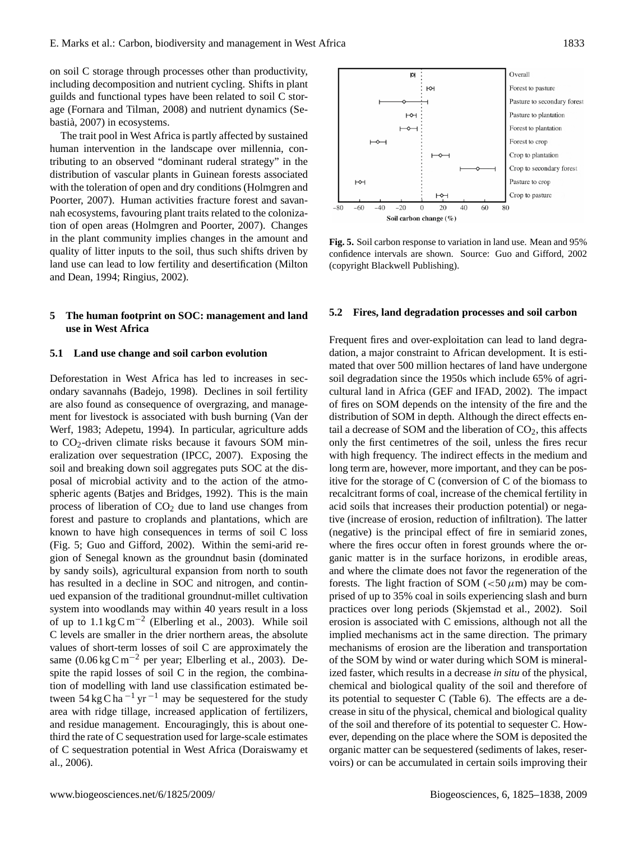on soil C storage through processes other than productivity, including decomposition and nutrient cycling. Shifts in plant guilds and functional types have been related to soil C storage (Fornara and Tilman, 2008) and nutrient dynamics (Sebastia, 2007) in ecosystems. `

The trait pool in West Africa is partly affected by sustained human intervention in the landscape over millennia, contributing to an observed "dominant ruderal strategy" in the distribution of vascular plants in Guinean forests associated with the toleration of open and dry conditions (Holmgren and Poorter, 2007). Human activities fracture forest and savannah ecosystems, favouring plant traits related to the colonization of open areas (Holmgren and Poorter, 2007). Changes in the plant community implies changes in the amount and quality of litter inputs to the soil, thus such shifts driven by land use can lead to low fertility and desertification (Milton and Dean, 1994; Ringius, 2002).

#### **5 The human footprint on SOC: management and land use in West Africa**

#### **5.1 Land use change and soil carbon evolution**

Deforestation in West Africa has led to increases in secondary savannahs (Badejo, 1998). Declines in soil fertility are also found as consequence of overgrazing, and management for livestock is associated with bush burning (Van der Werf, 1983; Adepetu, 1994). In particular, agriculture adds to CO2-driven climate risks because it favours SOM mineralization over sequestration (IPCC, 2007). Exposing the soil and breaking down soil aggregates puts SOC at the disposal of microbial activity and to the action of the atmospheric agents (Batjes and Bridges, 1992). This is the main process of liberation of  $CO<sub>2</sub>$  due to land use changes from forest and pasture to croplands and plantations, which are known to have high consequences in terms of soil C loss (Fig. 5; Guo and Gifford, 2002). Within the semi-arid region of Senegal known as the groundnut basin (dominated by sandy soils), agricultural expansion from north to south has resulted in a decline in SOC and nitrogen, and continued expansion of the traditional groundnut-millet cultivation system into woodlands may within 40 years result in a loss of up to  $1.1 \text{ kg C m}^{-2}$  (Elberling et al., 2003). While soil C levels are smaller in the drier northern areas, the absolute values of short-term losses of soil C are approximately the same (0.06 kg C m<sup>-2</sup> per year; Elberling et al., 2003). Despite the rapid losses of soil C in the region, the combination of modelling with land use classification estimated between 54 kg C ha<sup> $-1$ </sup> yr $^{-1}$  may be sequestered for the study area with ridge tillage, increased application of fertilizers, and residue management. Encouragingly, this is about onethird the rate of C sequestration used for large-scale estimates of C sequestration potential in West Africa (Doraiswamy et al., 2006).



(copyright Blackwell Publishing). **Fig. 5.** Soil carbon response to variation in land use. Mean and 95% confidence intervals are shown. Source: Guo and Gifford, 2002

#### **5.2 Fires, land degradation processes and soil carbon**

recalcitrant forms of coal, increase of the chemical fertility in Frequent fires and over-exploitation can lead to land degradation, a major constraint to African development. It is estimated that over 500 million hectares of land have undergone soil degradation since the 1950s which include 65% of agricultural land in Africa (GEF and IFAD, 2002). The impact of fires on SOM depends on the intensity of the fire and the distribution of SOM in depth. Although the direct effects entail a decrease of SOM and the liberation of  $CO<sub>2</sub>$ , this affects only the first centimetres of the soil, unless the fires recur with high frequency. The indirect effects in the medium and long term are, however, more important, and they can be positive for the storage of C (conversion of C of the biomass to acid soils that increases their production potential) or negative (increase of erosion, reduction of infiltration). The latter (negative) is the principal effect of fire in semiarid zones, where the fires occur often in forest grounds where the organic matter is in the surface horizons, in erodible areas, and where the climate does not favor the regeneration of the forests. The light fraction of SOM ( $<$ 50  $\mu$ m) may be comprised of up to 35% coal in soils experiencing slash and burn practices over long periods (Skjemstad et al., 2002). Soil erosion is associated with C emissions, although not all the implied mechanisms act in the same direction. The primary mechanisms of erosion are the liberation and transportation of the SOM by wind or water during which SOM is mineralized faster, which results in a decrease *in situ* of the physical, chemical and biological quality of the soil and therefore of its potential to sequester C (Table 6). The effects are a decrease in situ of the physical, chemical and biological quality of the soil and therefore of its potential to sequester C. However, depending on the place where the SOM is deposited the organic matter can be sequestered (sediments of lakes, reservoirs) or can be accumulated in certain soils improving their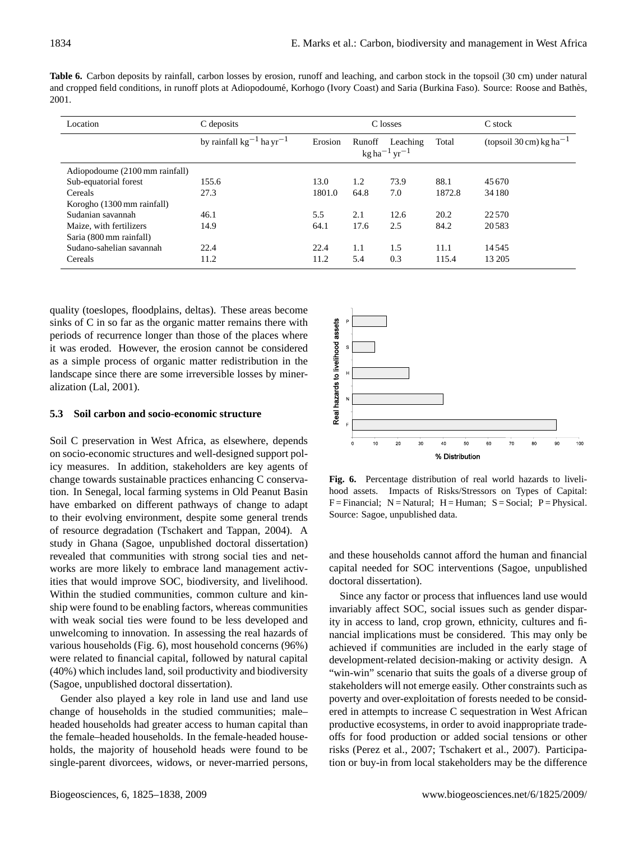|       | <b>Table 6.</b> Carbon deposits by rainfall, carbon losses by erosion, runoff and leaching, and carbon stock in the topsoil (30 cm) under natural |  |  |  |  |  |  |  |
|-------|---------------------------------------------------------------------------------------------------------------------------------------------------|--|--|--|--|--|--|--|
|       | and cropped field conditions, in runoff plots at Adiopodoumé, Korhogo (Ivory Coast) and Saria (Burkina Faso). Source: Roose and Bathès,           |  |  |  |  |  |  |  |
| 2001. |                                                                                                                                                   |  |  |  |  |  |  |  |

| Location                       | C deposits                                |         |        |                                                    | C losses |                                                |  |  |
|--------------------------------|-------------------------------------------|---------|--------|----------------------------------------------------|----------|------------------------------------------------|--|--|
|                                | by rainfall $kg^{-1}$ ha yr <sup>-1</sup> | Erosion | Runoff | Leaching<br>$kg$ ha <sup>-1</sup> yr <sup>-1</sup> | Total    | (topsoil $30 \text{ cm}$ ) kg ha <sup>-1</sup> |  |  |
| Adiopodoume (2100 mm rainfall) |                                           |         |        |                                                    |          |                                                |  |  |
| Sub-equatorial forest          | 155.6                                     | 13.0    | 1.2    | 73.9                                               | 88.1     | 45 670                                         |  |  |
| Cereals                        | 27.3                                      | 1801.0  | 64.8   | 7.0                                                | 1872.8   | 34 180                                         |  |  |
| Korogho (1300 mm rainfall)     |                                           |         |        |                                                    |          |                                                |  |  |
| Sudanian savannah              | 46.1                                      | 5.5     | 2.1    | 12.6                                               | 20.2     | 22 5 70                                        |  |  |
| Maize, with fertilizers        | 14.9                                      | 64.1    | 17.6   | 2.5                                                | 84.2     | 20583                                          |  |  |
| Saria (800 mm rainfall)        |                                           |         |        |                                                    |          |                                                |  |  |
| Sudano-sahelian savannah       | 22.4                                      | 22.4    | 1.1    | 1.5                                                | 11.1     | 14545                                          |  |  |
| Cereals                        | 11.2                                      | 11.2    | 5.4    | 0.3                                                | 115.4    | 13 20 5                                        |  |  |

quality (toeslopes, floodplains, deltas). These areas become sinks of C in so far as the organic matter remains there with periods of recurrence longer than those of the places where it was eroded. However, the erosion cannot be considered as a simple process of organic matter redistribution in the landscape since there are some irreversible losses by mineralization (Lal, 2001).

# **5.3 Soil carbon and socio-economic structure**

Soil C preservation in West Africa, as elsewhere, depends on socio-economic structures and well-designed support policy measures. In addition, stakeholders are key agents of change towards sustainable practices enhancing C conservation. In Senegal, local farming systems in Old Peanut Basin have embarked on different pathways of change to adapt to their evolving environment, despite some general trends of resource degradation (Tschakert and Tappan, 2004). A study in Ghana (Sagoe, unpublished doctoral dissertation) revealed that communities with strong social ties and networks are more likely to embrace land management activities that would improve SOC, biodiversity, and livelihood. Within the studied communities, common culture and kinship were found to be enabling factors, whereas communities with weak social ties were found to be less developed and unwelcoming to innovation. In assessing the real hazards of various households (Fig. 6), most household concerns (96%) were related to financial capital, followed by natural capital (40%) which includes land, soil productivity and biodiversity (Sagoe, unpublished doctoral dissertation).

Gender also played a key role in land use and land use change of households in the studied communities; male– headed households had greater access to human capital than the female–headed households. In the female-headed households, the majority of household heads were found to be single-parent divorcees, widows, or never-married persons,



hood assets. Impacts of Risks/Stressors on Types of Capital:  $F = Financial; N = Natural; H = Human; S = Social; P = Physical.$ Source: Sagoe, unpublished data. **Fig. 6.** Percentage distribution of real world hazards to liveli-

and these households cannot afford the human and financial capital needed for SOC interventions (Sagoe, unpublished doctoral dissertation).

productive ecosystems, in order to avoid inappropriate trade-Since any factor or process that influences land use would invariably affect SOC, social issues such as gender disparity in access to land, crop grown, ethnicity, cultures and financial implications must be considered. This may only be achieved if communities are included in the early stage of development-related decision-making or activity design. A "win-win" scenario that suits the goals of a diverse group of stakeholders will not emerge easily. Other constraints such as poverty and over-exploitation of forests needed to be considered in attempts to increase C sequestration in West African offs for food production or added social tensions or other risks (Perez et al., 2007; Tschakert et al., 2007). Participation or buy-in from local stakeholders may be the difference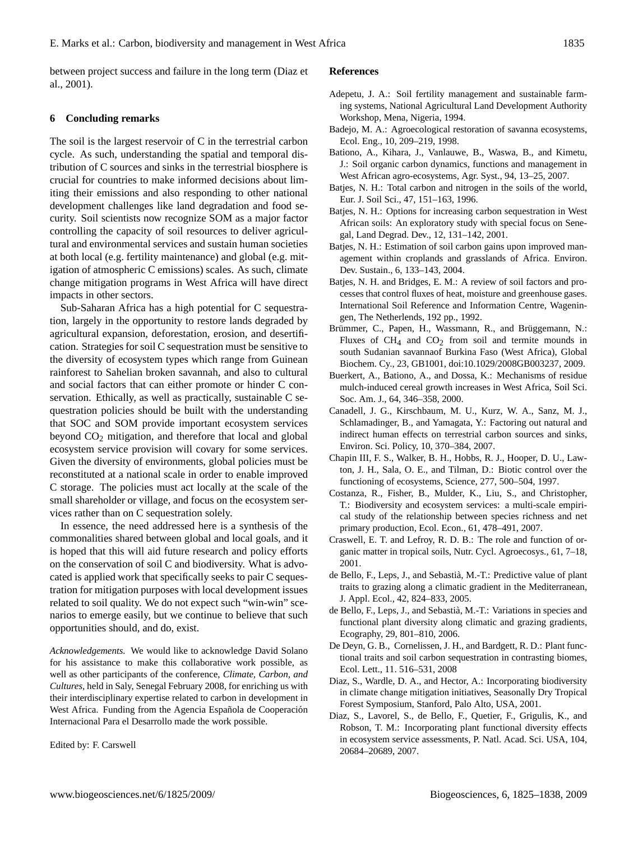between project success and failure in the long term (Diaz et al., 2001).

# **6 Concluding remarks**

The soil is the largest reservoir of C in the terrestrial carbon cycle. As such, understanding the spatial and temporal distribution of C sources and sinks in the terrestrial biosphere is crucial for countries to make informed decisions about limiting their emissions and also responding to other national development challenges like land degradation and food security. Soil scientists now recognize SOM as a major factor controlling the capacity of soil resources to deliver agricultural and environmental services and sustain human societies at both local (e.g. fertility maintenance) and global (e.g. mitigation of atmospheric C emissions) scales. As such, climate change mitigation programs in West Africa will have direct impacts in other sectors.

Sub-Saharan Africa has a high potential for C sequestration, largely in the opportunity to restore lands degraded by agricultural expansion, deforestation, erosion, and desertification. Strategies for soil C sequestration must be sensitive to the diversity of ecosystem types which range from Guinean rainforest to Sahelian broken savannah, and also to cultural and social factors that can either promote or hinder C conservation. Ethically, as well as practically, sustainable C sequestration policies should be built with the understanding that SOC and SOM provide important ecosystem services beyond  $CO<sub>2</sub>$  mitigation, and therefore that local and global ecosystem service provision will covary for some services. Given the diversity of environments, global policies must be reconstituted at a national scale in order to enable improved C storage. The policies must act locally at the scale of the small shareholder or village, and focus on the ecosystem services rather than on C sequestration solely.

In essence, the need addressed here is a synthesis of the commonalities shared between global and local goals, and it is hoped that this will aid future research and policy efforts on the conservation of soil C and biodiversity. What is advocated is applied work that specifically seeks to pair C sequestration for mitigation purposes with local development issues related to soil quality. We do not expect such "win-win" scenarios to emerge easily, but we continue to believe that such opportunities should, and do, exist.

*Acknowledgements.* We would like to acknowledge David Solano for his assistance to make this collaborative work possible, as well as other participants of the conference, *Climate, Carbon, and Cultures,* held in Saly, Senegal February 2008, for enriching us with their interdisciplinary expertise related to carbon in development in West Africa. Funding from the Agencia Española de Cooperación Internacional Para el Desarrollo made the work possible.

Edited by: F. Carswell

#### **References**

- Adepetu, J. A.: Soil fertility management and sustainable farming systems, National Agricultural Land Development Authority Workshop, Mena, Nigeria, 1994.
- Badejo, M. A.: Agroecological restoration of savanna ecosystems, Ecol. Eng., 10, 209–219, 1998.
- Bationo, A., Kihara, J., Vanlauwe, B., Waswa, B., and Kimetu, J.: Soil organic carbon dynamics, functions and management in West African agro-ecosystems, Agr. Syst., 94, 13–25, 2007.
- Batjes, N. H.: Total carbon and nitrogen in the soils of the world, Eur. J. Soil Sci., 47, 151–163, 1996.
- Batjes, N. H.: Options for increasing carbon sequestration in West African soils: An exploratory study with special focus on Senegal, Land Degrad. Dev., 12, 131–142, 2001.
- Batjes, N. H.: Estimation of soil carbon gains upon improved management within croplands and grasslands of Africa. Environ. Dev. Sustain., 6, 133–143, 2004.
- Batjes, N. H. and Bridges, E. M.: A review of soil factors and processes that control fluxes of heat, moisture and greenhouse gases. International Soil Reference and Information Centre, Wageningen, The Netherlends, 192 pp., 1992.
- Brümmer, C., Papen, H., Wassmann, R., and Brüggemann, N.: Fluxes of  $CH_4$  and  $CO_2$  from soil and termite mounds in south Sudanian savannaof Burkina Faso (West Africa), Global Biochem. Cy., 23, GB1001, doi:10.1029/2008GB003237, 2009.
- Buerkert, A., Bationo, A., and Dossa, K.: Mechanisms of residue mulch-induced cereal growth increases in West Africa, Soil Sci. Soc. Am. J., 64, 346–358, 2000.
- Canadell, J. G., Kirschbaum, M. U., Kurz, W. A., Sanz, M. J., Schlamadinger, B., and Yamagata, Y.: Factoring out natural and indirect human effects on terrestrial carbon sources and sinks, Environ. Sci. Policy, 10, 370–384, 2007.
- Chapin III, F. S., Walker, B. H., Hobbs, R. J., Hooper, D. U., Lawton, J. H., Sala, O. E., and Tilman, D.: Biotic control over the functioning of ecosystems, Science, 277, 500–504, 1997.
- Costanza, R., Fisher, B., Mulder, K., Liu, S., and Christopher, T.: Biodiversity and ecosystem services: a multi-scale empirical study of the relationship between species richness and net primary production, Ecol. Econ., 61, 478–491, 2007.
- Craswell, E. T. and Lefroy, R. D. B.: The role and function of organic matter in tropical soils, Nutr. Cycl. Agroecosys., 61, 7–18, 2001.
- de Bello, F., Leps, J., and Sebastia, M.-T.: Predictive value of plant ` traits to grazing along a climatic gradient in the Mediterranean, J. Appl. Ecol., 42, 824–833, 2005.
- de Bello, F., Leps, J., and Sebastia, M.-T.: Variations in species and ` functional plant diversity along climatic and grazing gradients, Ecography, 29, 801–810, 2006.
- De Deyn, G. B., Cornelissen, J. H., and Bardgett, R. D.: Plant functional traits and soil carbon sequestration in contrasting biomes, Ecol. Lett., 11. 516–531, 2008
- Diaz, S., Wardle, D. A., and Hector, A.: Incorporating biodiversity in climate change mitigation initiatives, Seasonally Dry Tropical Forest Symposium, Stanford, Palo Alto, USA, 2001.
- Diaz, S., Lavorel, S., de Bello, F., Quetier, F., Grigulis, K., and Robson, T. M.: Incorporating plant functional diversity effects in ecosystem service assessments, P. Natl. Acad. Sci. USA, 104, 20684–20689, 2007.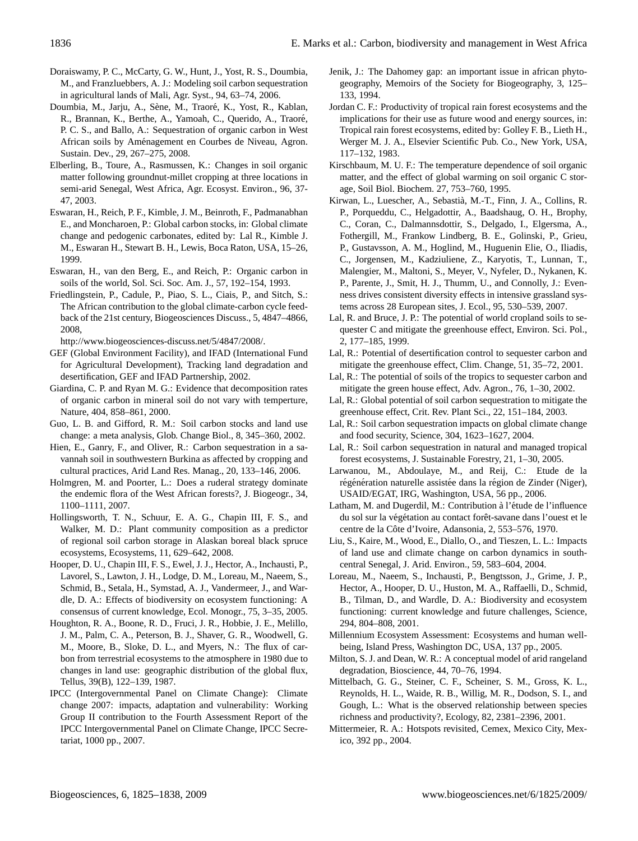- Doraiswamy, P. C., McCarty, G. W., Hunt, J., Yost, R. S., Doumbia, M., and Franzluebbers, A. J.: Modeling soil carbon sequestration in agricultural lands of Mali, Agr. Syst., 94, 63–74, 2006.
- Doumbia, M., Jarju, A., Sène, M., Traoré, K., Yost, R., Kablan, R., Brannan, K., Berthe, A., Yamoah, C., Querido, A., Traoré, P. C. S., and Ballo, A.: Sequestration of organic carbon in West African soils by Amenagement en Courbes de Niveau, Agron. ´ Sustain. Dev., 29, 267–275, 2008.
- Elberling, B., Toure, A., Rasmussen, K.: Changes in soil organic matter following groundnut-millet cropping at three locations in semi-arid Senegal, West Africa, Agr. Ecosyst. Environ., 96, 37- 47, 2003.
- Eswaran, H., Reich, P. F., Kimble, J. M., Beinroth, F., Padmanabhan E., and Moncharoen, P.: Global carbon stocks, in: Global climate change and pedogenic carbonates, edited by: Lal R., Kimble J. M., Eswaran H., Stewart B. H., Lewis, Boca Raton, USA, 15–26, 1999.
- Eswaran, H., van den Berg, E., and Reich, P.: Organic carbon in soils of the world, Sol. Sci. Soc. Am. J., 57, 192–154, 1993.
- Friedlingstein, P., Cadule, P., Piao, S. L., Ciais, P., and Sitch, S.: The African contribution to the global climate-carbon cycle feedback of the 21st century, Biogeosciences Discuss., 5, 4847–4866, 2008,

[http://www.biogeosciences-discuss.net/5/4847/2008/.](http://www.biogeosciences-discuss.net/5/4847/2008/)

- GEF (Global Environment Facility), and IFAD (International Fund for Agricultural Development), Tracking land degradation and desertification, GEF and IFAD Partnership, 2002.
- Giardina, C. P. and Ryan M. G.: Evidence that decomposition rates of organic carbon in mineral soil do not vary with temperture, Nature, 404, 858–861, 2000.
- Guo, L. B. and Gifford, R. M.: Soil carbon stocks and land use change: a meta analysis, Glob. Change Biol., 8, 345–360, 2002.
- Hien, E., Ganry, F., and Oliver, R.: Carbon sequestration in a savannah soil in southwestern Burkina as affected by cropping and cultural practices, Arid Land Res. Manag., 20, 133–146, 2006.
- Holmgren, M. and Poorter, L.: Does a ruderal strategy dominate the endemic flora of the West African forests?, J. Biogeogr., 34, 1100–1111, 2007.
- Hollingsworth, T. N., Schuur, E. A. G., Chapin III, F. S., and Walker, M. D.: Plant community composition as a predictor of regional soil carbon storage in Alaskan boreal black spruce ecosystems, Ecosystems, 11, 629–642, 2008.
- Hooper, D. U., Chapin III, F. S., Ewel, J. J., Hector, A., Inchausti, P., Lavorel, S., Lawton, J. H., Lodge, D. M., Loreau, M., Naeem, S., Schmid, B., Setala, H., Symstad, A. J., Vandermeer, J., and Wardle, D. A.: Effects of biodiversity on ecosystem functioning: A consensus of current knowledge, Ecol. Monogr., 75, 3–35, 2005.
- Houghton, R. A., Boone, R. D., Fruci, J. R., Hobbie, J. E., Melillo, J. M., Palm, C. A., Peterson, B. J., Shaver, G. R., Woodwell, G. M., Moore, B., Sloke, D. L., and Myers, N.: The flux of carbon from terrestrial ecosystems to the atmosphere in 1980 due to changes in land use: geographic distribution of the global flux, Tellus, 39(B), 122–139, 1987.
- IPCC (Intergovernmental Panel on Climate Change): Climate change 2007: impacts, adaptation and vulnerability: Working Group II contribution to the Fourth Assessment Report of the IPCC Intergovernmental Panel on Climate Change, IPCC Secretariat, 1000 pp., 2007.
- Jenik, J.: The Dahomey gap: an important issue in african phytogeography, Memoirs of the Society for Biogeography, 3, 125– 133, 1994.
- Jordan C. F.: Productivity of tropical rain forest ecosystems and the implications for their use as future wood and energy sources, in: Tropical rain forest ecosystems, edited by: Golley F. B., Lieth H., Werger M. J. A., Elsevier Scientific Pub. Co., New York, USA, 117–132, 1983.
- Kirschbaum, M. U. F.: The temperature dependence of soil organic matter, and the effect of global warming on soil organic C storage, Soil Biol. Biochem. 27, 753–760, 1995.
- Kirwan, L., Luescher, A., Sebastia, M.-T., Finn, J. A., Collins, R. ` P., Porqueddu, C., Helgadottir, A., Baadshaug, O. H., Brophy, C., Coran, C., Dalmannsdottir, S., Delgado, I., Elgersma, A., Fothergill, M., Frankow Lindberg, B. E., Golinski, P., Grieu, P., Gustavsson, A. M., Hoglind, M., Huguenin Elie, O., Iliadis, C., Jorgensen, M., Kadziuliene, Z., Karyotis, T., Lunnan, T., Malengier, M., Maltoni, S., Meyer, V., Nyfeler, D., Nykanen, K. P., Parente, J., Smit, H. J., Thumm, U., and Connolly, J.: Evenness drives consistent diversity effects in intensive grassland systems across 28 European sites, J. Ecol., 95, 530–539, 2007.
- Lal, R. and Bruce, J. P.: The potential of world cropland soils to sequester C and mitigate the greenhouse effect, Environ. Sci. Pol., 2, 177–185, 1999.
- Lal, R.: Potential of desertification control to sequester carbon and mitigate the greenhouse effect, Clim. Change, 51, 35–72, 2001.
- Lal, R.: The potential of soils of the tropics to sequester carbon and mitigate the green house effect, Adv. Agron., 76, 1–30, 2002.
- Lal, R.: Global potential of soil carbon sequestration to mitigate the greenhouse effect, Crit. Rev. Plant Sci., 22, 151–184, 2003.
- Lal, R.: Soil carbon sequestration impacts on global climate change and food security, Science, 304, 1623–1627, 2004.
- Lal, R.: Soil carbon sequestration in natural and managed tropical forest ecosystems, J. Sustainable Forestry, 21, 1–30, 2005.
- Larwanou, M., Abdoulaye, M., and Reij, C.: Etude de la régénération naturelle assistée dans la région de Zinder (Niger), USAID/EGAT, IRG, Washington, USA, 56 pp., 2006.
- Latham, M. and Dugerdil, M.: Contribution à l'étude de l'influence du sol sur la végétation au contact forêt-savane dans l'ouest et le centre de la Côte d'Ivoire, Adansonia, 2, 553–576, 1970.
- Liu, S., Kaire, M., Wood, E., Diallo, O., and Tieszen, L. L.: Impacts of land use and climate change on carbon dynamics in southcentral Senegal, J. Arid. Environ., 59, 583–604, 2004.
- Loreau, M., Naeem, S., Inchausti, P., Bengtsson, J., Grime, J. P., Hector, A., Hooper, D. U., Huston, M. A., Raffaelli, D., Schmid, B., Tilman, D., and Wardle, D. A.: Biodiversity and ecosystem functioning: current knowledge and future challenges, Science, 294, 804–808, 2001.
- Millennium Ecosystem Assessment: Ecosystems and human wellbeing, Island Press, Washington DC, USA, 137 pp., 2005.
- Milton, S. J. and Dean, W. R.: A conceptual model of arid rangeland degradation, Bioscience, 44, 70–76, 1994.
- Mittelbach, G. G., Steiner, C. F., Scheiner, S. M., Gross, K. L., Reynolds, H. L., Waide, R. B., Willig, M. R., Dodson, S. I., and Gough, L.: What is the observed relationship between species richness and productivity?, Ecology, 82, 2381–2396, 2001.
- Mittermeier, R. A.: Hotspots revisited, Cemex, Mexico City, Mexico, 392 pp., 2004.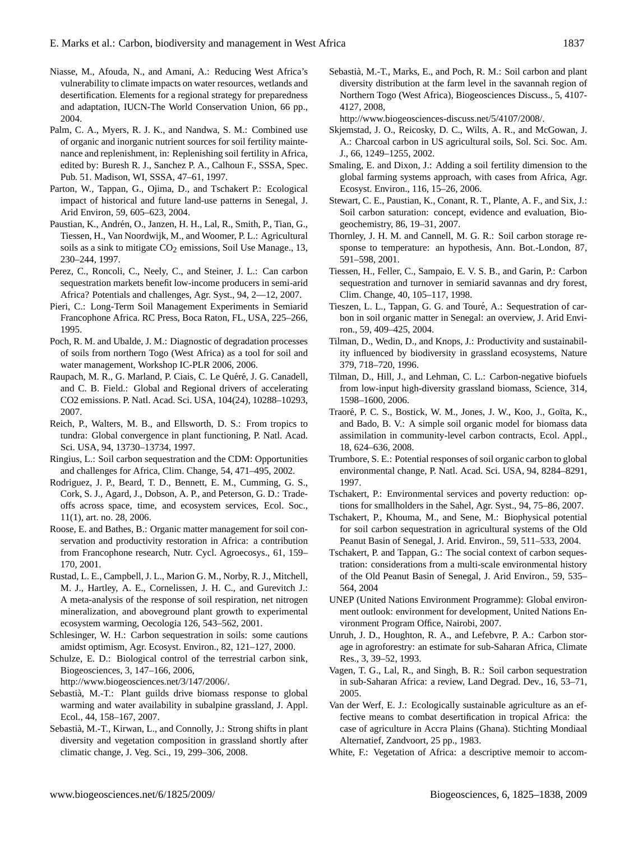- Niasse, M., Afouda, N., and Amani, A.: Reducing West Africa's vulnerability to climate impacts on water resources, wetlands and desertification. Elements for a regional strategy for preparedness and adaptation, IUCN-The World Conservation Union, 66 pp., 2004.
- Palm, C. A., Myers, R. J. K., and Nandwa, S. M.: Combined use of organic and inorganic nutrient sources for soil fertility maintenance and replenishment, in: Replenishing soil fertility in Africa, edited by: Buresh R. J., Sanchez P. A., Calhoun F., SSSA, Spec. Pub. 51. Madison, WI, SSSA, 47–61, 1997.
- Parton, W., Tappan, G., Ojima, D., and Tschakert P.: Ecological impact of historical and future land-use patterns in Senegal, J. Arid Environ, 59, 605–623, 2004.
- Paustian, K., Andrén, O., Janzen, H. H., Lal, R., Smith, P., Tian, G., Tiessen, H., Van Noordwijk, M., and Woomer, P. L.: Agricultural soils as a sink to mitigate  $CO<sub>2</sub>$  emissions, Soil Use Manage., 13, 230–244, 1997.
- Perez, C., Roncoli, C., Neely, C., and Steiner, J. L.: Can carbon sequestration markets benefit low-income producers in semi-arid Africa? Potentials and challenges, Agr. Syst., 94, 2—12, 2007.
- Pieri, C.: Long-Term Soil Management Experiments in Semiarid Francophone Africa. RC Press, Boca Raton, FL, USA, 225–266, 1995.
- Poch, R. M. and Ubalde, J. M.: Diagnostic of degradation processes of soils from northern Togo (West Africa) as a tool for soil and water management, Workshop IC-PLR 2006, 2006.
- Raupach, M. R., G. Marland, P. Ciais, C. Le Quéré, J. G. Canadell, and C. B. Field.: Global and Regional drivers of accelerating CO2 emissions. P. Natl. Acad. Sci. USA, 104(24), 10288–10293, 2007.
- Reich, P., Walters, M. B., and Ellsworth, D. S.: From tropics to tundra: Global convergence in plant functioning, P. Natl. Acad. Sci. USA, 94, 13730–13734, 1997.
- Ringius, L.: Soil carbon sequestration and the CDM: Opportunities and challenges for Africa, Clim. Change, 54, 471–495, 2002.
- Rodriguez, J. P., Beard, T. D., Bennett, E. M., Cumming, G. S., Cork, S. J., Agard, J., Dobson, A. P., and Peterson, G. D.: Tradeoffs across space, time, and ecosystem services, Ecol. Soc., 11(1), art. no. 28, 2006.
- Roose, E. and Bathes, B.: Organic matter management for soil conservation and productivity restoration in Africa: a contribution from Francophone research, Nutr. Cycl. Agroecosys., 61, 159– 170, 2001.
- Rustad, L. E., Campbell, J. L., Marion G. M., Norby, R. J., Mitchell, M. J., Hartley, A. E., Cornelissen, J. H. C., and Gurevitch J.: A meta-analysis of the response of soil respiration, net nitrogen mineralization, and aboveground plant growth to experimental ecosystem warming, Oecologia 126, 543–562, 2001.
- Schlesinger, W. H.: Carbon sequestration in soils: some cautions amidst optimism, Agr. Ecosyst. Environ., 82, 121–127, 2000.
- Schulze, E. D.: Biological control of the terrestrial carbon sink, Biogeosciences, 3, 147–166, 2006,

[http://www.biogeosciences.net/3/147/2006/.](http://www.biogeosciences.net/3/147/2006/)

- Sebastia, M.-T.: Plant guilds drive biomass response to global ` warming and water availability in subalpine grassland, J. Appl. Ecol., 44, 158–167, 2007.
- Sebastia, M.-T., Kirwan, L., and Connolly, J.: Strong shifts in plant ` diversity and vegetation composition in grassland shortly after climatic change, J. Veg. Sci., 19, 299–306, 2008.

Sebastia, M.-T., Marks, E., and Poch, R. M.: Soil carbon and plant ` diversity distribution at the farm level in the savannah region of Northern Togo (West Africa), Biogeosciences Discuss., 5, 4107- 4127, 2008,

[http://www.biogeosciences-discuss.net/5/4107/2008/.](http://www.biogeosciences-discuss.net/5/4107/2008/)

- Skjemstad, J. O., Reicosky, D. C., Wilts, A. R., and McGowan, J. A.: Charcoal carbon in US agricultural soils, Sol. Sci. Soc. Am. J., 66, 1249–1255, 2002.
- Smaling, E. and Dixon, J.: Adding a soil fertility dimension to the global farming systems approach, with cases from Africa, Agr. Ecosyst. Environ., 116, 15–26, 2006.
- Stewart, C. E., Paustian, K., Conant, R. T., Plante, A. F., and Six, J.: Soil carbon saturation: concept, evidence and evaluation, Biogeochemistry, 86, 19–31, 2007.
- Thornley, J. H. M. and Cannell, M. G. R.: Soil carbon storage response to temperature: an hypothesis, Ann. Bot.-London, 87, 591–598, 2001.
- Tiessen, H., Feller, C., Sampaio, E. V. S. B., and Garin, P.: Carbon sequestration and turnover in semiarid savannas and dry forest, Clim. Change, 40, 105–117, 1998.
- Tieszen, L. L., Tappan, G. G. and Touré, A.: Sequestration of carbon in soil organic matter in Senegal: an overview, J. Arid Environ., 59, 409–425, 2004.
- Tilman, D., Wedin, D., and Knops, J.: Productivity and sustainability influenced by biodiversity in grassland ecosystems, Nature 379, 718–720, 1996.
- Tilman, D., Hill, J., and Lehman, C. L.: Carbon-negative biofuels from low-input high-diversity grassland biomass, Science, 314, 1598–1600, 2006.
- Traoré, P. C. S., Bostick, W. M., Jones, J. W., Koo, J., Goïta, K., and Bado, B. V.: A simple soil organic model for biomass data assimilation in community-level carbon contracts, Ecol. Appl., 18, 624–636, 2008.
- Trumbore, S. E.: Potential responses of soil organic carbon to global environmental change, P. Natl. Acad. Sci. USA, 94, 8284–8291, 1997.
- Tschakert, P.: Environmental services and poverty reduction: options for smallholders in the Sahel, Agr. Syst., 94, 75–86, 2007.
- Tschakert, P., Khouma, M., and Sene, M.: Biophysical potential for soil carbon sequestration in agricultural systems of the Old Peanut Basin of Senegal, J. Arid. Environ., 59, 511–533, 2004.
- Tschakert, P. and Tappan, G.: The social context of carbon sequestration: considerations from a multi-scale environmental history of the Old Peanut Basin of Senegal, J. Arid Environ., 59, 535– 564, 2004
- UNEP (United Nations Environment Programme): Global environment outlook: environment for development, United Nations Environment Program Office, Nairobi, 2007.
- Unruh, J. D., Houghton, R. A., and Lefebvre, P. A.: Carbon storage in agroforestry: an estimate for sub-Saharan Africa, Climate Res., 3, 39–52, 1993.
- Vagen, T. G., Lal, R., and Singh, B. R.: Soil carbon sequestration in sub-Saharan Africa: a review, Land Degrad. Dev., 16, 53–71, 2005.
- Van der Werf, E. J.: Ecologically sustainable agriculture as an effective means to combat desertification in tropical Africa: the case of agriculture in Accra Plains (Ghana). Stichting Mondiaal Alternatief, Zandvoort, 25 pp., 1983.
- White, F.: Vegetation of Africa: a descriptive memoir to accom-